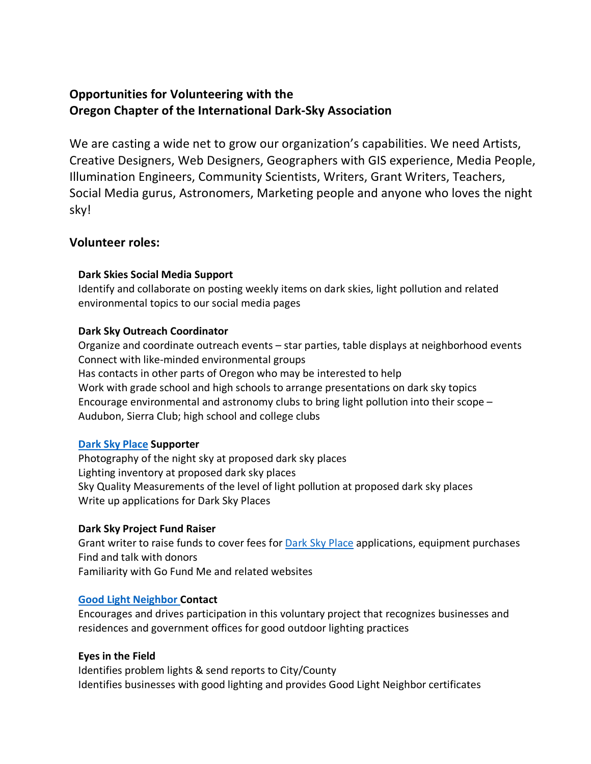# **Opportunities for Volunteering with the Oregon Chapter of the International Dark-Sky Association**

We are casting a wide net to grow our organization's capabilities. We need Artists, Creative Designers, Web Designers, Geographers with GIS experience, Media People, Illumination Engineers, Community Scientists, Writers, Grant Writers, Teachers, Social Media gurus, Astronomers, Marketing people and anyone who loves the night sky!

## **Volunteer roles:**

#### **Dark Skies Social Media Support**

Identify and collaborate on posting weekly items on dark skies, light pollution and related environmental topics to our social media pages

#### **Dark Sky Outreach Coordinator**

Organize and coordinate outreach events – star parties, table displays at neighborhood events Connect with like-minded environmental groups Has contacts in other parts of Oregon who may be interested to help Work with grade school and high schools to arrange presentations on dark sky topics Encourage environmental and astronomy clubs to bring light pollution into their scope – Audubon, Sierra Club; high school and college clubs

### **[Dark Sky Place](https://www.darksky.org/our-work/conservation/idsp/) Supporter**

Photography of the night sky at proposed dark sky places Lighting inventory at proposed dark sky places Sky Quality Measurements of the level of light pollution at proposed dark sky places Write up applications for Dark Sky Places

### **Dark Sky Project Fund Raiser**

Grant writer to raise funds to cover fees for **Dark Sky Place applications**, equipment purchases Find and talk with donors Familiarity with Go Fund Me and related websites

#### **[Good Light Neighbor C](https://www.darkskyoregon.org/good-light-neighbor-program)ontact**

Encourages and drives participation in this voluntary project that recognizes businesses and residences and government offices for good outdoor lighting practices

#### **Eyes in the Field**

Identifies problem lights & send reports to City/County Identifies businesses with good lighting and provides Good Light Neighbor certificates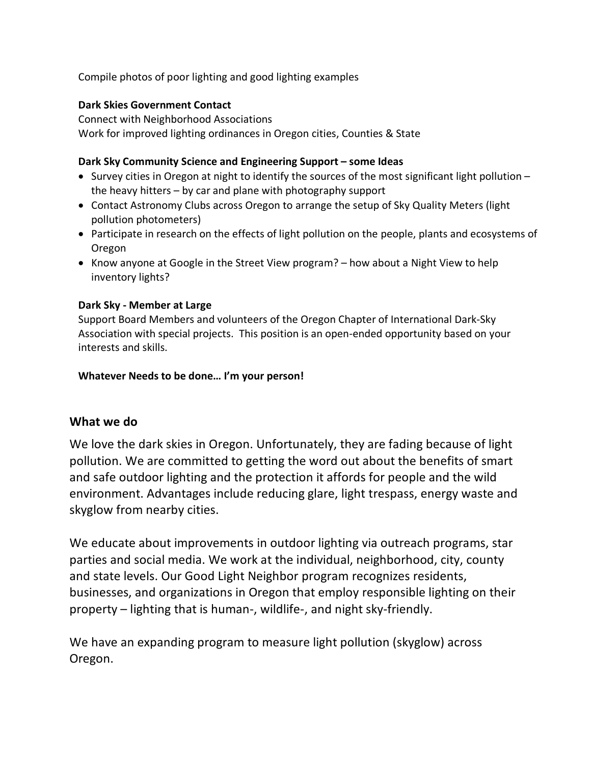Compile photos of poor lighting and good lighting examples

### **Dark Skies Government Contact**

Connect with Neighborhood Associations Work for improved lighting ordinances in Oregon cities, Counties & State

## **Dark Sky Community Science and Engineering Support – some Ideas**

- Survey cities in Oregon at night to identify the sources of the most significant light pollution the heavy hitters – by car and plane with photography support
- Contact Astronomy Clubs across Oregon to arrange the setup of Sky Quality Meters (light pollution photometers)
- Participate in research on the effects of light pollution on the people, plants and ecosystems of Oregon
- Know anyone at Google in the Street View program? how about a Night View to help inventory lights?

## **Dark Sky - Member at Large**

Support Board Members and volunteers of the Oregon Chapter of International Dark-Sky Association with special projects. This position is an open-ended opportunity based on your interests and skills.

### **Whatever Needs to be done… I'm your person!**

## **What we do**

We love the dark skies in Oregon. Unfortunately, they are fading because of light pollution. We are committed to getting the word out about the benefits of smart and safe outdoor lighting and the protection it affords for people and the wild environment. Advantages include reducing glare, light trespass, energy waste and skyglow from nearby cities.

We educate about improvements in outdoor lighting via outreach programs, star parties and social media. We work at the individual, neighborhood, city, county and state levels. Our Good Light Neighbor program recognizes residents, businesses, and organizations in Oregon that employ responsible lighting on their property – lighting that is human-, wildlife-, and night sky-friendly.

We have an expanding program to measure light pollution (skyglow) across Oregon.